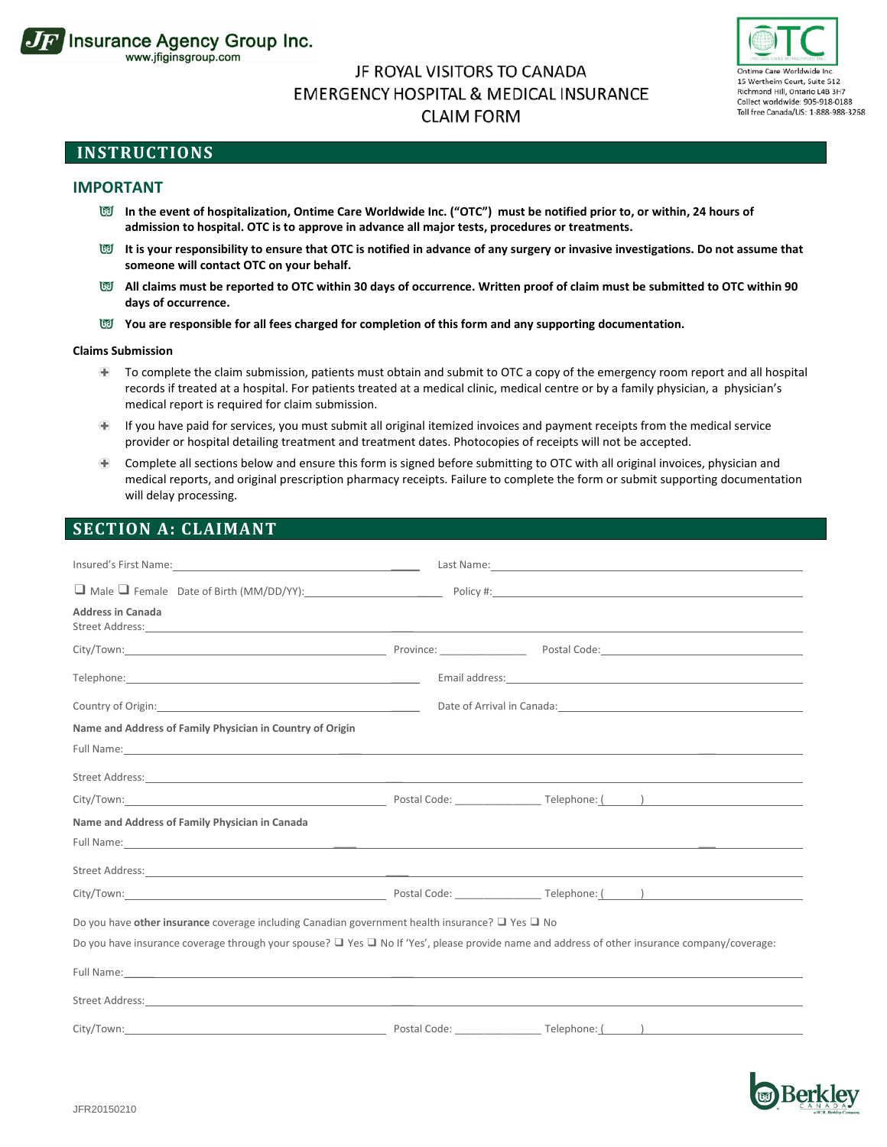

# JF ROYAL VISITORS TO CANADA **EMERGENCY HOSPITAL & MEDICAL INSURANCE CLAIM FORM**



## **INSTRUCTIONS**

### **IMPORTANT**

- **In the event of hospitalization, Ontime Care Worldwide Inc. ("OTC") must be notified prior to, or within, 24 hours of admission to hospital. OTC is to approve in advance all major tests, procedures or treatments.**
- **It is your responsibility to ensure that OTC is notified in advance of any surgery or invasive investigations. Do not assume that someone will contact OTC on your behalf.**
- **All claims must be reported to OTC within 30 days of occurrence. Written proof of claim must be submitted to OTC within 90 days of occurrence.**
- You are responsible for all fees charged for completion of this form and any supporting documentation.

#### **Claims Submission**

- Œ To complete the claim submission, patients must obtain and submit to OTC a copy of the emergency room report and all hospital records if treated at a hospital. For patients treated at a medical clinic, medical centre or by a family physician, a physician's medical report is required for claim submission.
- If you have paid for services, you must submit all original itemized invoices and payment receipts from the medical service Œ provider or hospital detailing treatment and treatment dates. Photocopies of receipts will not be accepted.
- Complete all sections below and ensure this form is signed before submitting to OTC with all original invoices, physician and  $+$ medical reports, and original prescription pharmacy receipts. Failure to complete the form or submit supporting documentation will delay processing.

## **SECTION A: CLAIMANT**

| <b>Address in Canada</b>                                                                                                                                                                                                             |                                                                                                                                                                                                                               |
|--------------------------------------------------------------------------------------------------------------------------------------------------------------------------------------------------------------------------------------|-------------------------------------------------------------------------------------------------------------------------------------------------------------------------------------------------------------------------------|
|                                                                                                                                                                                                                                      |                                                                                                                                                                                                                               |
|                                                                                                                                                                                                                                      |                                                                                                                                                                                                                               |
|                                                                                                                                                                                                                                      | Date of Arrival in Canada: Manual Arrival and Arrival and Arrival and Arrival and Arrival and Arrival and Arrival and Arrival and Arrival and Arrival and Arrival and Arrival and Arrival and Arrival and Arrival and Arrival |
| Name and Address of Family Physician in Country of Origin                                                                                                                                                                            |                                                                                                                                                                                                                               |
| Full Name: contract the contract of the contract of the contract of the contract of the contract of the contract of the contract of the contract of the contract of the contract of the contract of the contract of the contra       |                                                                                                                                                                                                                               |
| Street Address: <u>All and the community of the community of the community of the community of the community of the community of the community of the community of the community of the community of the community of the commun</u> |                                                                                                                                                                                                                               |
|                                                                                                                                                                                                                                      |                                                                                                                                                                                                                               |
| Name and Address of Family Physician in Canada                                                                                                                                                                                       |                                                                                                                                                                                                                               |
|                                                                                                                                                                                                                                      |                                                                                                                                                                                                                               |
|                                                                                                                                                                                                                                      |                                                                                                                                                                                                                               |
|                                                                                                                                                                                                                                      |                                                                                                                                                                                                                               |
| Do you have other insurance coverage including Canadian government health insurance? $\Box$ Yes $\Box$ No                                                                                                                            |                                                                                                                                                                                                                               |
| Do you have insurance coverage through your spouse? $\Box$ Yes $\Box$ No If 'Yes', please provide name and address of other insurance company/coverage:                                                                              |                                                                                                                                                                                                                               |
| Full Name: contract the contract of the contract of the contract of the contract of the contract of the contract of the contract of the contract of the contract of the contract of the contract of the contract of the contra       |                                                                                                                                                                                                                               |
| Street Address: <u>All and the community of the community of the community of the community of the community of the community of the community of the community of the community of the community of the community of the commun</u> |                                                                                                                                                                                                                               |
| City/Town: City/Town: City/Town: City/Town: City/Town: City/Town: City/Town: City/Town: City/Town: City/Town: City/Town: City/Town: City/Town: City/Town: City/Town: City/Town: City/Town: City/Town: City: City: City: City:        |                                                                                                                                                                                                                               |